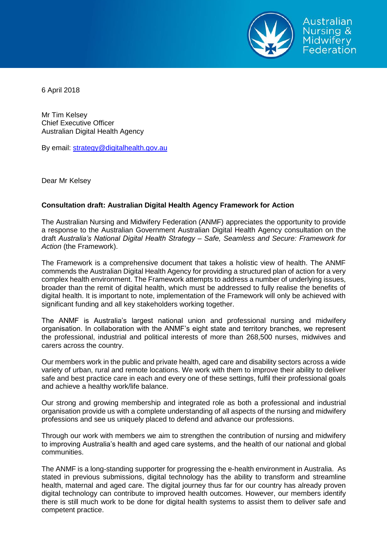

6 April 2018

Mr Tim Kelsey Chief Executive Officer Australian Digital Health Agency

By email: [strategy@digitalhealth.gov.au](mailto:strategy@digitalhealth.gov.au)

Dear Mr Kelsey

## **Consultation draft: Australian Digital Health Agency Framework for Action**

The Australian Nursing and Midwifery Federation (ANMF) appreciates the opportunity to provide a response to the Australian Government Australian Digital Health Agency consultation on the draft *Australia's National Digital Health Strategy – Safe, Seamless and Secure: Framework for Action* (the Framework).

The Framework is a comprehensive document that takes a holistic view of health. The ANMF commends the Australian Digital Health Agency for providing a structured plan of action for a very complex health environment. The Framework attempts to address a number of underlying issues, broader than the remit of digital health, which must be addressed to fully realise the benefits of digital health. It is important to note, implementation of the Framework will only be achieved with significant funding and all key stakeholders working together.

The ANMF is Australia's largest national union and professional nursing and midwifery organisation. In collaboration with the ANMF's eight state and territory branches, we represent the professional, industrial and political interests of more than 268,500 nurses, midwives and carers across the country.

Our members work in the public and private health, aged care and disability sectors across a wide variety of urban, rural and remote locations. We work with them to improve their ability to deliver safe and best practice care in each and every one of these settings, fulfil their professional goals and achieve a healthy work/life balance.

Our strong and growing membership and integrated role as both a professional and industrial organisation provide us with a complete understanding of all aspects of the nursing and midwifery professions and see us uniquely placed to defend and advance our professions.

Through our work with members we aim to strengthen the contribution of nursing and midwifery to improving Australia's health and aged care systems, and the health of our national and global communities.

The ANMF is a long-standing supporter for progressing the e-health environment in Australia. As stated in previous submissions, digital technology has the ability to transform and streamline health, maternal and aged care. The digital journey thus far for our country has already proven digital technology can contribute to improved health outcomes. However, our members identify there is still much work to be done for digital health systems to assist them to deliver safe and competent practice.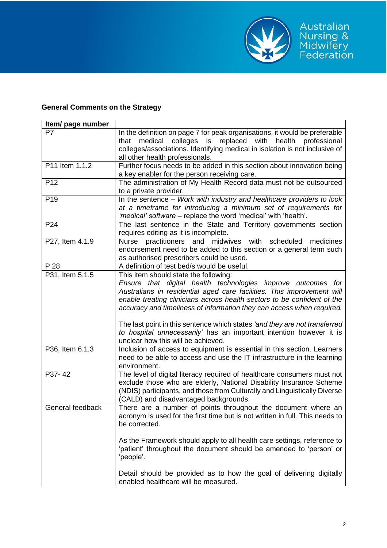

## **General Comments on the Strategy**

| Item/ page number                                                        |                                                                                                                                                                                                                                                                                                                                                                                                                                                                                                                                                                                                                                                                                                                                                                                                                                                                                                                                                                                                                                                                                                                                                                                                                                                                                                                                                                                                                                                                             |
|--------------------------------------------------------------------------|-----------------------------------------------------------------------------------------------------------------------------------------------------------------------------------------------------------------------------------------------------------------------------------------------------------------------------------------------------------------------------------------------------------------------------------------------------------------------------------------------------------------------------------------------------------------------------------------------------------------------------------------------------------------------------------------------------------------------------------------------------------------------------------------------------------------------------------------------------------------------------------------------------------------------------------------------------------------------------------------------------------------------------------------------------------------------------------------------------------------------------------------------------------------------------------------------------------------------------------------------------------------------------------------------------------------------------------------------------------------------------------------------------------------------------------------------------------------------------|
| P7                                                                       | In the definition on page 7 for peak organisations, it would be preferable                                                                                                                                                                                                                                                                                                                                                                                                                                                                                                                                                                                                                                                                                                                                                                                                                                                                                                                                                                                                                                                                                                                                                                                                                                                                                                                                                                                                  |
|                                                                          | that medical colleges is replaced with health professional                                                                                                                                                                                                                                                                                                                                                                                                                                                                                                                                                                                                                                                                                                                                                                                                                                                                                                                                                                                                                                                                                                                                                                                                                                                                                                                                                                                                                  |
|                                                                          | colleges/associations. Identifying medical in isolation is not inclusive of                                                                                                                                                                                                                                                                                                                                                                                                                                                                                                                                                                                                                                                                                                                                                                                                                                                                                                                                                                                                                                                                                                                                                                                                                                                                                                                                                                                                 |
|                                                                          | all other health professionals.                                                                                                                                                                                                                                                                                                                                                                                                                                                                                                                                                                                                                                                                                                                                                                                                                                                                                                                                                                                                                                                                                                                                                                                                                                                                                                                                                                                                                                             |
| P11 Item 1.1.2                                                           | Further focus needs to be added in this section about innovation being                                                                                                                                                                                                                                                                                                                                                                                                                                                                                                                                                                                                                                                                                                                                                                                                                                                                                                                                                                                                                                                                                                                                                                                                                                                                                                                                                                                                      |
|                                                                          | a key enabler for the person receiving care.                                                                                                                                                                                                                                                                                                                                                                                                                                                                                                                                                                                                                                                                                                                                                                                                                                                                                                                                                                                                                                                                                                                                                                                                                                                                                                                                                                                                                                |
| P <sub>12</sub>                                                          | The administration of My Health Record data must not be outsourced                                                                                                                                                                                                                                                                                                                                                                                                                                                                                                                                                                                                                                                                                                                                                                                                                                                                                                                                                                                                                                                                                                                                                                                                                                                                                                                                                                                                          |
|                                                                          | to a private provider.                                                                                                                                                                                                                                                                                                                                                                                                                                                                                                                                                                                                                                                                                                                                                                                                                                                                                                                                                                                                                                                                                                                                                                                                                                                                                                                                                                                                                                                      |
| P <sub>19</sub>                                                          | In the sentence - Work with industry and healthcare providers to look                                                                                                                                                                                                                                                                                                                                                                                                                                                                                                                                                                                                                                                                                                                                                                                                                                                                                                                                                                                                                                                                                                                                                                                                                                                                                                                                                                                                       |
|                                                                          | at a timeframe for introducing a minimum set of requirements for                                                                                                                                                                                                                                                                                                                                                                                                                                                                                                                                                                                                                                                                                                                                                                                                                                                                                                                                                                                                                                                                                                                                                                                                                                                                                                                                                                                                            |
|                                                                          | 'medical' software - replace the word 'medical' with 'health'.                                                                                                                                                                                                                                                                                                                                                                                                                                                                                                                                                                                                                                                                                                                                                                                                                                                                                                                                                                                                                                                                                                                                                                                                                                                                                                                                                                                                              |
| P <sub>24</sub>                                                          | The last sentence in the State and Territory governments section                                                                                                                                                                                                                                                                                                                                                                                                                                                                                                                                                                                                                                                                                                                                                                                                                                                                                                                                                                                                                                                                                                                                                                                                                                                                                                                                                                                                            |
|                                                                          | requires editing as it is incomplete.                                                                                                                                                                                                                                                                                                                                                                                                                                                                                                                                                                                                                                                                                                                                                                                                                                                                                                                                                                                                                                                                                                                                                                                                                                                                                                                                                                                                                                       |
| P27, Item 4.1.9                                                          | scheduled<br><b>Nurse</b><br>practitioners and midwives<br>with<br>medicines                                                                                                                                                                                                                                                                                                                                                                                                                                                                                                                                                                                                                                                                                                                                                                                                                                                                                                                                                                                                                                                                                                                                                                                                                                                                                                                                                                                                |
|                                                                          | endorsement need to be added to this section or a general term such                                                                                                                                                                                                                                                                                                                                                                                                                                                                                                                                                                                                                                                                                                                                                                                                                                                                                                                                                                                                                                                                                                                                                                                                                                                                                                                                                                                                         |
|                                                                          | as authorised prescribers could be used.                                                                                                                                                                                                                                                                                                                                                                                                                                                                                                                                                                                                                                                                                                                                                                                                                                                                                                                                                                                                                                                                                                                                                                                                                                                                                                                                                                                                                                    |
|                                                                          |                                                                                                                                                                                                                                                                                                                                                                                                                                                                                                                                                                                                                                                                                                                                                                                                                                                                                                                                                                                                                                                                                                                                                                                                                                                                                                                                                                                                                                                                             |
|                                                                          |                                                                                                                                                                                                                                                                                                                                                                                                                                                                                                                                                                                                                                                                                                                                                                                                                                                                                                                                                                                                                                                                                                                                                                                                                                                                                                                                                                                                                                                                             |
|                                                                          |                                                                                                                                                                                                                                                                                                                                                                                                                                                                                                                                                                                                                                                                                                                                                                                                                                                                                                                                                                                                                                                                                                                                                                                                                                                                                                                                                                                                                                                                             |
|                                                                          |                                                                                                                                                                                                                                                                                                                                                                                                                                                                                                                                                                                                                                                                                                                                                                                                                                                                                                                                                                                                                                                                                                                                                                                                                                                                                                                                                                                                                                                                             |
|                                                                          |                                                                                                                                                                                                                                                                                                                                                                                                                                                                                                                                                                                                                                                                                                                                                                                                                                                                                                                                                                                                                                                                                                                                                                                                                                                                                                                                                                                                                                                                             |
|                                                                          |                                                                                                                                                                                                                                                                                                                                                                                                                                                                                                                                                                                                                                                                                                                                                                                                                                                                                                                                                                                                                                                                                                                                                                                                                                                                                                                                                                                                                                                                             |
|                                                                          |                                                                                                                                                                                                                                                                                                                                                                                                                                                                                                                                                                                                                                                                                                                                                                                                                                                                                                                                                                                                                                                                                                                                                                                                                                                                                                                                                                                                                                                                             |
|                                                                          |                                                                                                                                                                                                                                                                                                                                                                                                                                                                                                                                                                                                                                                                                                                                                                                                                                                                                                                                                                                                                                                                                                                                                                                                                                                                                                                                                                                                                                                                             |
|                                                                          |                                                                                                                                                                                                                                                                                                                                                                                                                                                                                                                                                                                                                                                                                                                                                                                                                                                                                                                                                                                                                                                                                                                                                                                                                                                                                                                                                                                                                                                                             |
|                                                                          |                                                                                                                                                                                                                                                                                                                                                                                                                                                                                                                                                                                                                                                                                                                                                                                                                                                                                                                                                                                                                                                                                                                                                                                                                                                                                                                                                                                                                                                                             |
|                                                                          |                                                                                                                                                                                                                                                                                                                                                                                                                                                                                                                                                                                                                                                                                                                                                                                                                                                                                                                                                                                                                                                                                                                                                                                                                                                                                                                                                                                                                                                                             |
|                                                                          |                                                                                                                                                                                                                                                                                                                                                                                                                                                                                                                                                                                                                                                                                                                                                                                                                                                                                                                                                                                                                                                                                                                                                                                                                                                                                                                                                                                                                                                                             |
|                                                                          |                                                                                                                                                                                                                                                                                                                                                                                                                                                                                                                                                                                                                                                                                                                                                                                                                                                                                                                                                                                                                                                                                                                                                                                                                                                                                                                                                                                                                                                                             |
|                                                                          |                                                                                                                                                                                                                                                                                                                                                                                                                                                                                                                                                                                                                                                                                                                                                                                                                                                                                                                                                                                                                                                                                                                                                                                                                                                                                                                                                                                                                                                                             |
|                                                                          |                                                                                                                                                                                                                                                                                                                                                                                                                                                                                                                                                                                                                                                                                                                                                                                                                                                                                                                                                                                                                                                                                                                                                                                                                                                                                                                                                                                                                                                                             |
|                                                                          |                                                                                                                                                                                                                                                                                                                                                                                                                                                                                                                                                                                                                                                                                                                                                                                                                                                                                                                                                                                                                                                                                                                                                                                                                                                                                                                                                                                                                                                                             |
|                                                                          |                                                                                                                                                                                                                                                                                                                                                                                                                                                                                                                                                                                                                                                                                                                                                                                                                                                                                                                                                                                                                                                                                                                                                                                                                                                                                                                                                                                                                                                                             |
|                                                                          |                                                                                                                                                                                                                                                                                                                                                                                                                                                                                                                                                                                                                                                                                                                                                                                                                                                                                                                                                                                                                                                                                                                                                                                                                                                                                                                                                                                                                                                                             |
|                                                                          |                                                                                                                                                                                                                                                                                                                                                                                                                                                                                                                                                                                                                                                                                                                                                                                                                                                                                                                                                                                                                                                                                                                                                                                                                                                                                                                                                                                                                                                                             |
|                                                                          |                                                                                                                                                                                                                                                                                                                                                                                                                                                                                                                                                                                                                                                                                                                                                                                                                                                                                                                                                                                                                                                                                                                                                                                                                                                                                                                                                                                                                                                                             |
|                                                                          |                                                                                                                                                                                                                                                                                                                                                                                                                                                                                                                                                                                                                                                                                                                                                                                                                                                                                                                                                                                                                                                                                                                                                                                                                                                                                                                                                                                                                                                                             |
|                                                                          |                                                                                                                                                                                                                                                                                                                                                                                                                                                                                                                                                                                                                                                                                                                                                                                                                                                                                                                                                                                                                                                                                                                                                                                                                                                                                                                                                                                                                                                                             |
|                                                                          |                                                                                                                                                                                                                                                                                                                                                                                                                                                                                                                                                                                                                                                                                                                                                                                                                                                                                                                                                                                                                                                                                                                                                                                                                                                                                                                                                                                                                                                                             |
|                                                                          |                                                                                                                                                                                                                                                                                                                                                                                                                                                                                                                                                                                                                                                                                                                                                                                                                                                                                                                                                                                                                                                                                                                                                                                                                                                                                                                                                                                                                                                                             |
|                                                                          |                                                                                                                                                                                                                                                                                                                                                                                                                                                                                                                                                                                                                                                                                                                                                                                                                                                                                                                                                                                                                                                                                                                                                                                                                                                                                                                                                                                                                                                                             |
|                                                                          |                                                                                                                                                                                                                                                                                                                                                                                                                                                                                                                                                                                                                                                                                                                                                                                                                                                                                                                                                                                                                                                                                                                                                                                                                                                                                                                                                                                                                                                                             |
|                                                                          |                                                                                                                                                                                                                                                                                                                                                                                                                                                                                                                                                                                                                                                                                                                                                                                                                                                                                                                                                                                                                                                                                                                                                                                                                                                                                                                                                                                                                                                                             |
| P 28<br>P31, Item 5.1.5<br>P36, Item 6.1.3<br>P37-42<br>General feedback | A definition of test bed/s would be useful.<br>This item should state the following:<br>Ensure that digital health technologies improve outcomes for<br>Australians in residential aged care facilities. This improvement will<br>enable treating clinicians across health sectors to be confident of the<br>accuracy and timeliness of information they can access when required.<br>The last point in this sentence which states 'and they are not transferred<br>to hospital unnecessarily' has an important intention however it is<br>unclear how this will be achieved.<br>Inclusion of access to equipment is essential in this section. Learners<br>need to be able to access and use the IT infrastructure in the learning<br>environment.<br>The level of digital literacy required of healthcare consumers must not<br>exclude those who are elderly, National Disability Insurance Scheme<br>(NDIS) participants, and those from Culturally and Linguistically Diverse<br>(CALD) and disadvantaged backgrounds.<br>There are a number of points throughout the document where an<br>acronym is used for the first time but is not written in full. This needs to<br>be corrected.<br>As the Framework should apply to all health care settings, reference to<br>'patient' throughout the document should be amended to 'person' or<br>'people'.<br>Detail should be provided as to how the goal of delivering digitally<br>enabled healthcare will be measured. |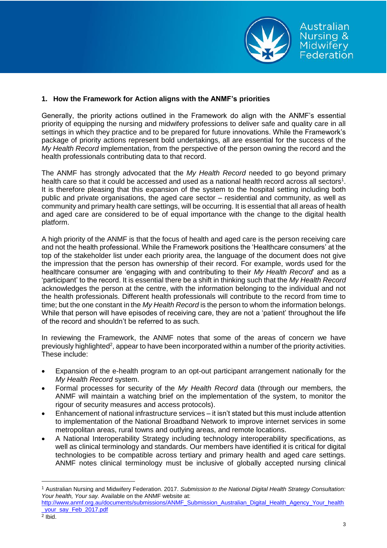

## **1. How the Framework for Action aligns with the ANMF's priorities**

Generally, the priority actions outlined in the Framework do align with the ANMF's essential priority of equipping the nursing and midwifery professions to deliver safe and quality care in all settings in which they practice and to be prepared for future innovations. While the Framework's package of priority actions represent bold undertakings, all are essential for the success of the *My Health Record* implementation, from the perspective of the person owning the record and the health professionals contributing data to that record.

The ANMF has strongly advocated that the *My Health Record* needed to go beyond primary health care so that it could be accessed and used as a national health record across all sectors<sup>1</sup>. It is therefore pleasing that this expansion of the system to the hospital setting including both public and private organisations, the aged care sector – residential and community, as well as community and primary health care settings, will be occurring. It is essential that all areas of health and aged care are considered to be of equal importance with the change to the digital health platform.

A high priority of the ANMF is that the focus of health and aged care is the person receiving care and not the health professional. While the Framework positions the 'Healthcare consumers' at the top of the stakeholder list under each priority area, the language of the document does not give the impression that the person has ownership of their record. For example, words used for the healthcare consumer are 'engaging with and contributing to their *My Health Record*' and as a 'participant' to the record. It is essential there be a shift in thinking such that the *My Health Record* acknowledges the person at the centre, with the information belonging to the individual and not the health professionals. Different health professionals will contribute to the record from time to time; but the one constant in the *My Health Record* is the person to whom the information belongs. While that person will have episodes of receiving care, they are not a 'patient' throughout the life of the record and shouldn't be referred to as such.

In reviewing the Framework, the ANMF notes that some of the areas of concern we have previously highlighted<sup>2</sup>, appear to have been incorporated within a number of the priority activities. These include:

- Expansion of the e-health program to an opt-out participant arrangement nationally for the *My Health Record* system.
- Formal processes for security of the *My Health Record* data (through our members, the ANMF will maintain a watching brief on the implementation of the system, to monitor the rigour of security measures and access protocols).
- Enhancement of national infrastructure services it isn't stated but this must include attention to implementation of the National Broadband Network to improve internet services in some metropolitan areas, rural towns and outlying areas, and remote locations.
- A National Interoperability Strategy including technology interoperability specifications, as well as clinical terminology and standards. Our members have identified it is critical for digital technologies to be compatible across tertiary and primary health and aged care settings. ANMF notes clinical terminology must be inclusive of globally accepted nursing clinical

 $\overline{a}$ 

<sup>1</sup> Australian Nursing and Midwifery Federation. 2017. *Submission to the National Digital Health Strategy Consultation: Your health, Your say.* Available on the ANMF website at:

[http://www.anmf.org.au/documents/submissions/ANMF\\_Submission\\_Australian\\_Digital\\_Health\\_Agency\\_Your\\_health](http://www.anmf.org.au/documents/submissions/ANMF_Submission_Australian_Digital_Health_Agency_Your_health_your_say_Feb_2017.pdf) your\_say\_Feb\_2017.pdf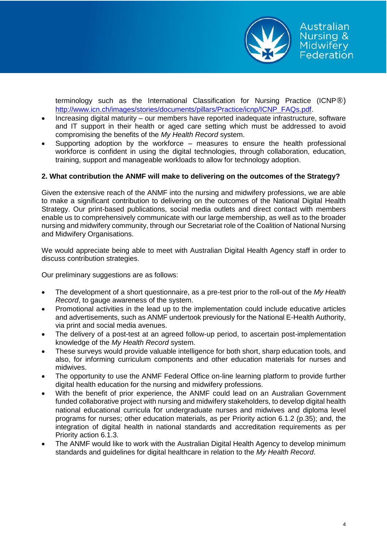

terminology such as the International Classification for Nursing Practice (ICNP®) [http://www.icn.ch/images/stories/documents/pillars/Practice/icnp/ICNP\\_FAQs.pdf.](http://www.icn.ch/images/stories/documents/pillars/Practice/icnp/ICNP_FAQs.pdf)

- Increasing digital maturity our members have reported inadequate infrastructure, software and IT support in their health or aged care setting which must be addressed to avoid compromising the benefits of the *My Health Record* system.
- Supporting adoption by the workforce measures to ensure the health professional workforce is confident in using the digital technologies, through collaboration, education, training, support and manageable workloads to allow for technology adoption.

## **2. What contribution the ANMF will make to delivering on the outcomes of the Strategy?**

Given the extensive reach of the ANMF into the nursing and midwifery professions, we are able to make a significant contribution to delivering on the outcomes of the National Digital Health Strategy. Our print-based publications, social media outlets and direct contact with members enable us to comprehensively communicate with our large membership, as well as to the broader nursing and midwifery community, through our Secretariat role of the Coalition of National Nursing and Midwifery Organisations.

We would appreciate being able to meet with Australian Digital Health Agency staff in order to discuss contribution strategies.

Our preliminary suggestions are as follows:

- The development of a short questionnaire, as a pre-test prior to the roll-out of the *My Health Record*, to gauge awareness of the system.
- Promotional activities in the lead up to the implementation could include educative articles and advertisements, such as ANMF undertook previously for the National E-Health Authority, via print and social media avenues.
- The delivery of a post-test at an agreed follow-up period, to ascertain post-implementation knowledge of the *My Health Record* system.
- These surveys would provide valuable intelligence for both short, sharp education tools, and also, for informing curriculum components and other education materials for nurses and midwives.
- The opportunity to use the ANMF Federal Office on-line learning platform to provide further digital health education for the nursing and midwifery professions.
- With the benefit of prior experience, the ANMF could lead on an Australian Government funded collaborative project with nursing and midwifery stakeholders, to develop digital health national educational curricula for undergraduate nurses and midwives and diploma level programs for nurses; other education materials, as per Priority action 6.1.2 (p.35); and, the integration of digital health in national standards and accreditation requirements as per Priority action 6.1.3.
- The ANMF would like to work with the Australian Digital Health Agency to develop minimum standards and guidelines for digital healthcare in relation to the *My Health Record*.